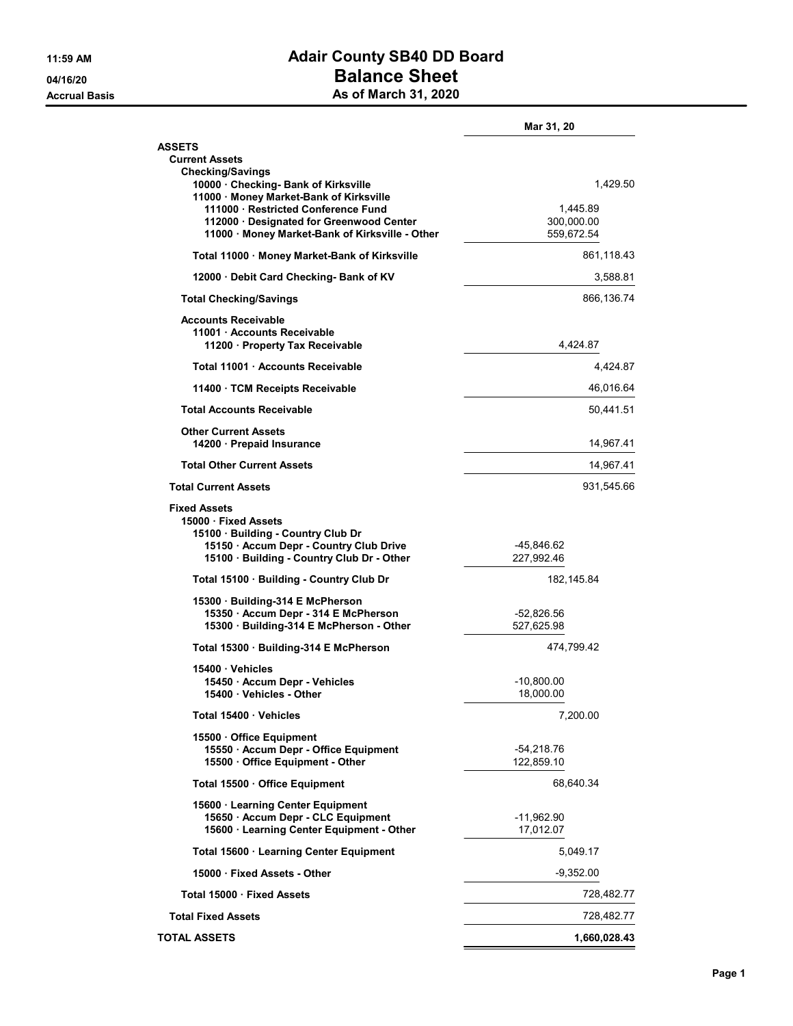## 11:59 AM **Adair County SB40 DD Board** 04/16/20 **Balance Sheet** Accrual Basis **As of March 31, 2020**

|                                                                                                                                                                          | Mar 31, 20                           |
|--------------------------------------------------------------------------------------------------------------------------------------------------------------------------|--------------------------------------|
| <b>ASSETS</b><br><b>Current Assets</b>                                                                                                                                   |                                      |
| <b>Checking/Savings</b><br>10000 · Checking- Bank of Kirksville<br>11000 · Money Market-Bank of Kirksville<br>111000 Restricted Conference Fund                          | 1,429.50                             |
| 112000 · Designated for Greenwood Center<br>11000 Money Market-Bank of Kirksville - Other                                                                                | 1,445.89<br>300,000.00<br>559,672.54 |
| Total 11000 · Money Market-Bank of Kirksville                                                                                                                            | 861,118.43                           |
| 12000 Debit Card Checking- Bank of KV                                                                                                                                    | 3,588.81                             |
| <b>Total Checking/Savings</b>                                                                                                                                            | 866,136.74                           |
| <b>Accounts Receivable</b><br>11001 Accounts Receivable<br>11200 Property Tax Receivable                                                                                 | 4,424.87                             |
| Total 11001 Accounts Receivable                                                                                                                                          | 4,424.87                             |
| 11400 TCM Receipts Receivable                                                                                                                                            | 46,016.64                            |
| <b>Total Accounts Receivable</b>                                                                                                                                         | 50,441.51                            |
| <b>Other Current Assets</b><br>14200 · Prepaid Insurance                                                                                                                 | 14,967.41                            |
| <b>Total Other Current Assets</b>                                                                                                                                        | 14,967.41                            |
| <b>Total Current Assets</b>                                                                                                                                              | 931,545.66                           |
| <b>Fixed Assets</b><br>15000 Fixed Assets<br>15100 · Building - Country Club Dr<br>15150 · Accum Depr - Country Club Drive<br>15100 · Building - Country Club Dr - Other | -45,846.62<br>227,992.46             |
| Total 15100 Building - Country Club Dr                                                                                                                                   | 182, 145.84                          |
| 15300 Building-314 E McPherson                                                                                                                                           |                                      |
| 15350 · Accum Depr - 314 E McPherson<br>15300 · Building-314 E McPherson - Other                                                                                         | -52,826.56<br>527,625.98             |
| Total 15300 Building-314 E McPherson                                                                                                                                     | 474,799.42                           |
| 15400 Vehicles<br>15450 · Accum Depr - Vehicles<br>15400 · Vehicles - Other                                                                                              | -10,800.00<br>18,000.00              |
| Total 15400 Vehicles                                                                                                                                                     | 7,200.00                             |
| 15500 Office Equipment                                                                                                                                                   |                                      |
| 15550 · Accum Depr - Office Equipment<br>15500 · Office Equipment - Other                                                                                                | -54,218.76<br>122,859.10             |
| Total 15500 Office Equipment                                                                                                                                             | 68,640.34                            |
| 15600 · Learning Center Equipment<br>15650 · Accum Depr - CLC Equipment<br>15600 · Learning Center Equipment - Other                                                     | -11,962.90<br>17,012.07              |
| Total 15600 · Learning Center Equipment                                                                                                                                  | 5,049.17                             |
| 15000 Fixed Assets - Other                                                                                                                                               | $-9,352.00$                          |
| Total 15000 · Fixed Assets                                                                                                                                               | 728,482.77                           |
| <b>Total Fixed Assets</b>                                                                                                                                                | 728,482.77                           |
| <b>TOTAL ASSETS</b>                                                                                                                                                      | 1,660,028.43                         |